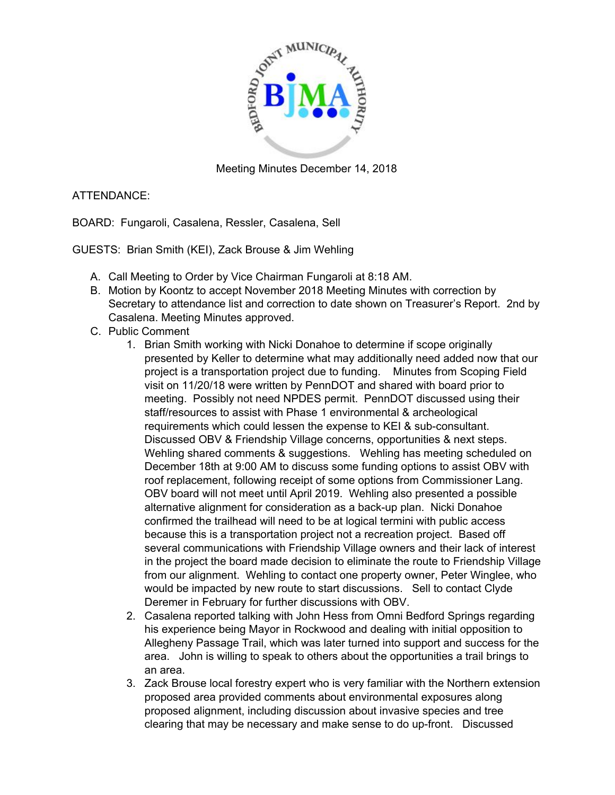

Meeting Minutes December 14, 2018

## ATTENDANCE:

BOARD: Fungaroli, Casalena, Ressler, Casalena, Sell

GUESTS: Brian Smith (KEI), Zack Brouse & Jim Wehling

- A. Call Meeting to Order by Vice Chairman Fungaroli at 8:18 AM.
- B. Motion by Koontz to accept November 2018 Meeting Minutes with correction by Secretary to attendance list and correction to date shown on Treasurer's Report. 2nd by Casalena. Meeting Minutes approved.
- C. Public Comment
	- 1. Brian Smith working with Nicki Donahoe to determine if scope originally presented by Keller to determine what may additionally need added now that our project is a transportation project due to funding. Minutes from Scoping Field visit on 11/20/18 were written by PennDOT and shared with board prior to meeting. Possibly not need NPDES permit. PennDOT discussed using their staff/resources to assist with Phase 1 environmental & archeological requirements which could lessen the expense to KEI & sub-consultant. Discussed OBV & Friendship Village concerns, opportunities & next steps. Wehling shared comments & suggestions. Wehling has meeting scheduled on December 18th at 9:00 AM to discuss some funding options to assist OBV with roof replacement, following receipt of some options from Commissioner Lang. OBV board will not meet until April 2019. Wehling also presented a possible alternative alignment for consideration as a back-up plan. Nicki Donahoe confirmed the trailhead will need to be at logical termini with public access because this is a transportation project not a recreation project. Based off several communications with Friendship Village owners and their lack of interest in the project the board made decision to eliminate the route to Friendship Village from our alignment. Wehling to contact one property owner, Peter Winglee, who would be impacted by new route to start discussions. Sell to contact Clyde Deremer in February for further discussions with OBV.
	- 2. Casalena reported talking with John Hess from Omni Bedford Springs regarding his experience being Mayor in Rockwood and dealing with initial opposition to Allegheny Passage Trail, which was later turned into support and success for the area. John is willing to speak to others about the opportunities a trail brings to an area.
	- 3. Zack Brouse local forestry expert who is very familiar with the Northern extension proposed area provided comments about environmental exposures along proposed alignment, including discussion about invasive species and tree clearing that may be necessary and make sense to do up-front. Discussed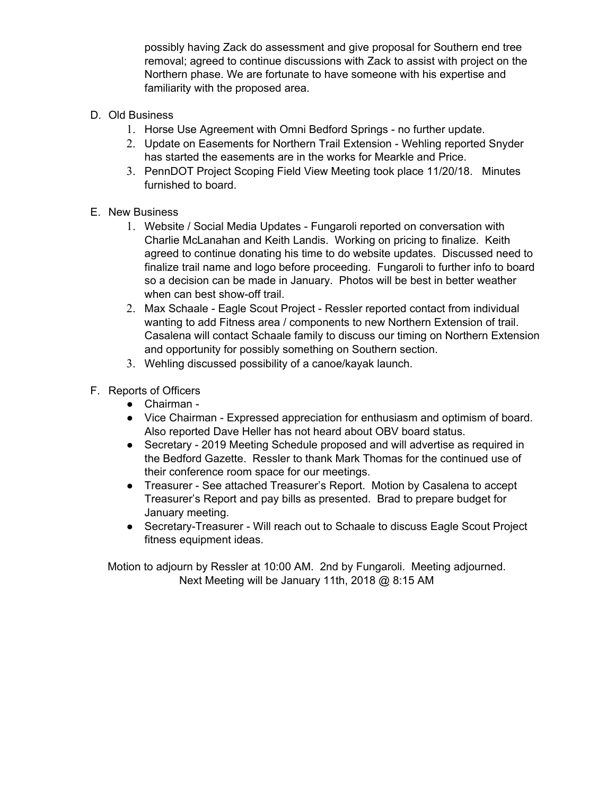possibly having Zack do assessment and give proposal for Southern end tree removal; agreed to continue discussions with Zack to assist with project on the Northern phase. We are fortunate to have someone with his expertise and familiarity with the proposed area.

- D. Old Business
	- 1. Horse Use Agreement with Omni Bedford Springs no further update.
	- 2. Update on Easements for Northern Trail Extension Wehling reported Snyder has started the easements are in the works for Mearkle and Price.
	- 3. PennDOT Project Scoping Field View Meeting took place 11/20/18. Minutes furnished to board.
- E. New Business
	- 1. Website / Social Media Updates Fungaroli reported on conversation with Charlie McLanahan and Keith Landis. Working on pricing to finalize. Keith agreed to continue donating his time to do website updates. Discussed need to finalize trail name and logo before proceeding. Fungaroli to further info to board so a decision can be made in January. Photos will be best in better weather when can best show-off trail.
	- 2. Max Schaale Eagle Scout Project Ressler reported contact from individual wanting to add Fitness area / components to new Northern Extension of trail. Casalena will contact Schaale family to discuss our timing on Northern Extension and opportunity for possibly something on Southern section.
	- 3. Wehling discussed possibility of a canoe/kayak launch.
- F. Reports of Officers
	- Chairman -
	- Vice Chairman Expressed appreciation for enthusiasm and optimism of board. Also reported Dave Heller has not heard about OBV board status.
	- Secretary 2019 Meeting Schedule proposed and will advertise as required in the Bedford Gazette. Ressler to thank Mark Thomas for the continued use of their conference room space for our meetings.
	- Treasurer See attached Treasurer's Report. Motion by Casalena to accept Treasurer's Report and pay bills as presented. Brad to prepare budget for January meeting.
	- Secretary-Treasurer Will reach out to Schaale to discuss Eagle Scout Project fitness equipment ideas.

Motion to adjourn by Ressler at 10:00 AM. 2nd by Fungaroli. Meeting adjourned. Next Meeting will be January 11th, 2018 @ 8:15 AM